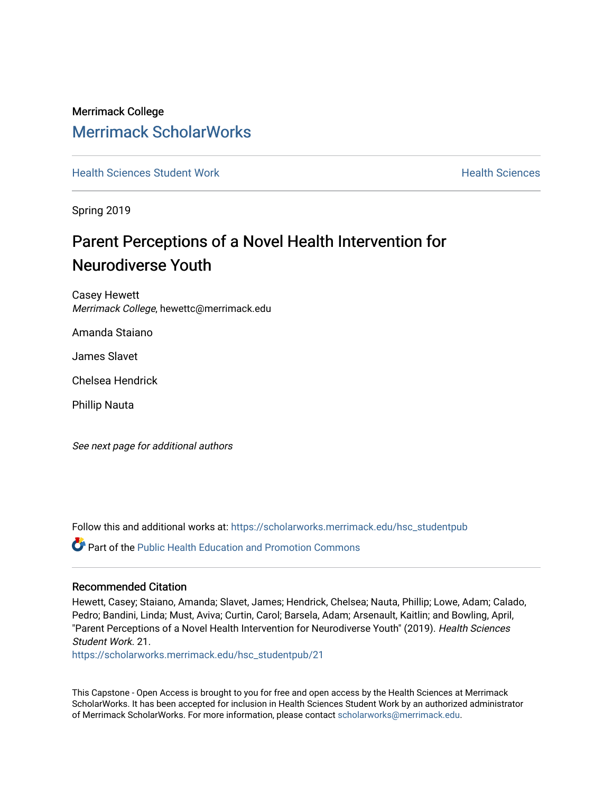# Merrimack College [Merrimack ScholarWorks](https://scholarworks.merrimack.edu/)

**[Health Sciences Student Work](https://scholarworks.merrimack.edu/hsc_studentpub) Health Sciences** Health Sciences

Spring 2019

# Parent Perceptions of a Novel Health Intervention for Neurodiverse Youth

Casey Hewett Merrimack College, hewettc@merrimack.edu

Amanda Staiano

James Slavet

Chelsea Hendrick

Phillip Nauta

See next page for additional authors

Follow this and additional works at: [https://scholarworks.merrimack.edu/hsc\\_studentpub](https://scholarworks.merrimack.edu/hsc_studentpub?utm_source=scholarworks.merrimack.edu%2Fhsc_studentpub%2F21&utm_medium=PDF&utm_campaign=PDFCoverPages)

**P** Part of the Public Health Education and Promotion Commons

#### Recommended Citation

Hewett, Casey; Staiano, Amanda; Slavet, James; Hendrick, Chelsea; Nauta, Phillip; Lowe, Adam; Calado, Pedro; Bandini, Linda; Must, Aviva; Curtin, Carol; Barsela, Adam; Arsenault, Kaitlin; and Bowling, April, "Parent Perceptions of a Novel Health Intervention for Neurodiverse Youth" (2019). Health Sciences Student Work. 21.

[https://scholarworks.merrimack.edu/hsc\\_studentpub/21](https://scholarworks.merrimack.edu/hsc_studentpub/21?utm_source=scholarworks.merrimack.edu%2Fhsc_studentpub%2F21&utm_medium=PDF&utm_campaign=PDFCoverPages) 

This Capstone - Open Access is brought to you for free and open access by the Health Sciences at Merrimack ScholarWorks. It has been accepted for inclusion in Health Sciences Student Work by an authorized administrator of Merrimack ScholarWorks. For more information, please contact [scholarworks@merrimack.edu.](mailto:scholarworks@merrimack.edu)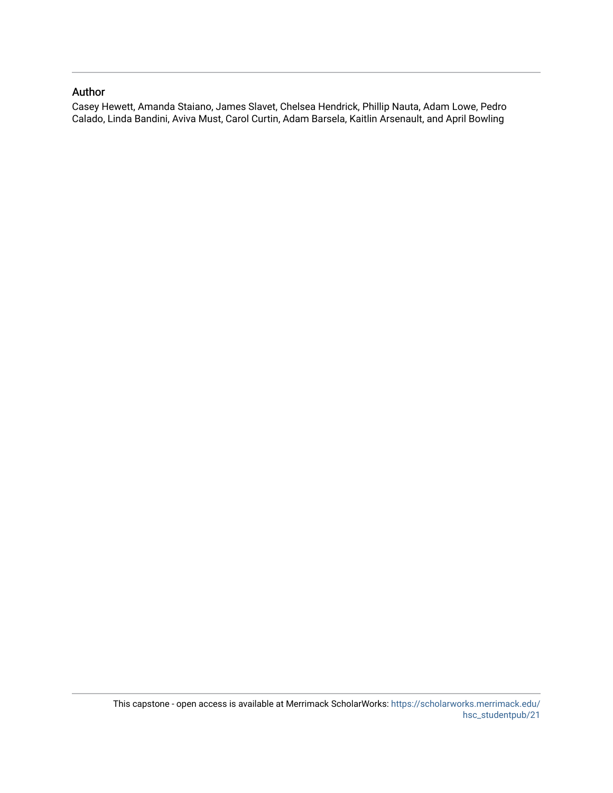#### Author

Casey Hewett, Amanda Staiano, James Slavet, Chelsea Hendrick, Phillip Nauta, Adam Lowe, Pedro Calado, Linda Bandini, Aviva Must, Carol Curtin, Adam Barsela, Kaitlin Arsenault, and April Bowling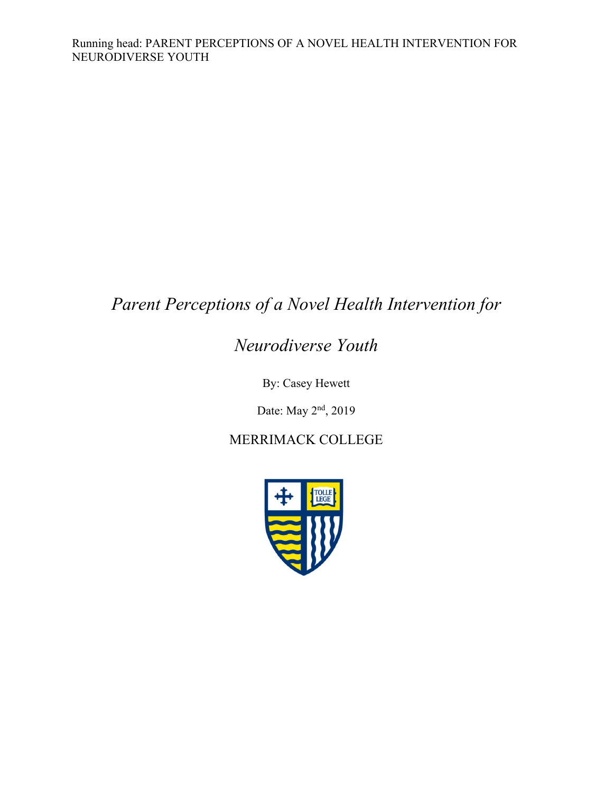# *Parent Perceptions of a Novel Health Intervention for*

# *Neurodiverse Youth*

By: Casey Hewett

Date: May 2nd, 2019

## MERRIMACK COLLEGE

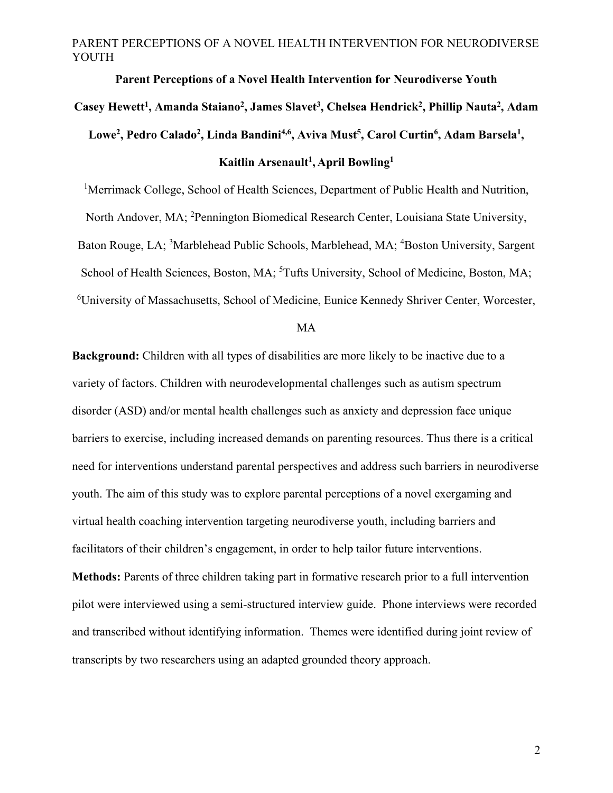# **Parent Perceptions of a Novel Health Intervention for Neurodiverse Youth**  Casey Hewett<sup>1</sup>, Amanda Staiano<sup>2</sup>, James Slavet<sup>3</sup>, Chelsea Hendrick<sup>2</sup>, Phillip Nauta<sup>2</sup>, Adam Lowe<sup>2</sup>, Pedro Calado<sup>2</sup>, Linda Bandini<sup>4,6</sup>, Aviva Must<sup>5</sup>, Carol Curtin<sup>6</sup>, Adam Barsela<sup>1</sup>, **Kaitlin Arsenault1, April Bowling1**

<sup>1</sup>Merrimack College, School of Health Sciences, Department of Public Health and Nutrition, North Andover, MA; <sup>2</sup>Pennington Biomedical Research Center, Louisiana State University, Baton Rouge, LA; <sup>3</sup>Marblehead Public Schools, Marblehead, MA; <sup>4</sup>Boston University, Sargent School of Health Sciences, Boston, MA; <sup>5</sup>Tufts University, School of Medicine, Boston, MA; 6 University of Massachusetts, School of Medicine, Eunice Kennedy Shriver Center, Worcester,

MA

**Background:** Children with all types of disabilities are more likely to be inactive due to a variety of factors. Children with neurodevelopmental challenges such as autism spectrum disorder (ASD) and/or mental health challenges such as anxiety and depression face unique barriers to exercise, including increased demands on parenting resources. Thus there is a critical need for interventions understand parental perspectives and address such barriers in neurodiverse youth. The aim of this study was to explore parental perceptions of a novel exergaming and virtual health coaching intervention targeting neurodiverse youth, including barriers and facilitators of their children's engagement, in order to help tailor future interventions.

**Methods:** Parents of three children taking part in formative research prior to a full intervention pilot were interviewed using a semi-structured interview guide. Phone interviews were recorded and transcribed without identifying information. Themes were identified during joint review of transcripts by two researchers using an adapted grounded theory approach.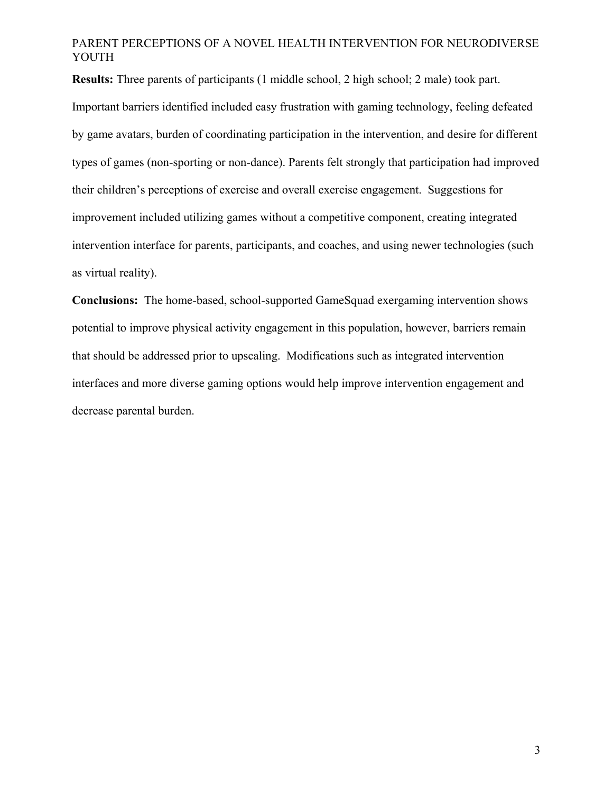**Results:** Three parents of participants (1 middle school, 2 high school; 2 male) took part.

Important barriers identified included easy frustration with gaming technology, feeling defeated by game avatars, burden of coordinating participation in the intervention, and desire for different types of games (non-sporting or non-dance). Parents felt strongly that participation had improved their children's perceptions of exercise and overall exercise engagement. Suggestions for improvement included utilizing games without a competitive component, creating integrated intervention interface for parents, participants, and coaches, and using newer technologies (such as virtual reality).

**Conclusions:** The home-based, school-supported GameSquad exergaming intervention shows potential to improve physical activity engagement in this population, however, barriers remain that should be addressed prior to upscaling. Modifications such as integrated intervention interfaces and more diverse gaming options would help improve intervention engagement and decrease parental burden.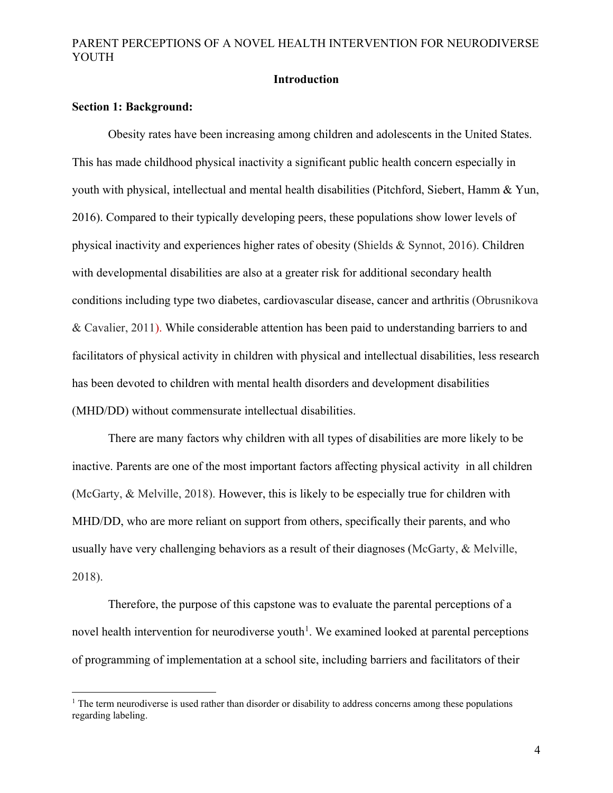## **Introduction**

#### **Section 1: Background:**

Obesity rates have been increasing among children and adolescents in the United States. This has made childhood physical inactivity a significant public health concern especially in youth with physical, intellectual and mental health disabilities (Pitchford, Siebert, Hamm & Yun, 2016). Compared to their typically developing peers, these populations show lower levels of physical inactivity and experiences higher rates of obesity (Shields & Synnot, 2016). Children with developmental disabilities are also at a greater risk for additional secondary health conditions including type two diabetes, cardiovascular disease, cancer and arthritis (Obrusnikova & Cavalier, 2011). While considerable attention has been paid to understanding barriers to and facilitators of physical activity in children with physical and intellectual disabilities, less research has been devoted to children with mental health disorders and development disabilities (MHD/DD) without commensurate intellectual disabilities.

There are many factors why children with all types of disabilities are more likely to be inactive. Parents are one of the most important factors affecting physical activity in all children (McGarty, & Melville, 2018). However, this is likely to be especially true for children with MHD/DD, who are more reliant on support from others, specifically their parents, and who usually have very challenging behaviors as a result of their diagnoses (McGarty, & Melville, 2018).

Therefore, the purpose of this capstone was to evaluate the parental perceptions of a novel health intervention for neurodiverse youth<sup>[1](#page-6-0)</sup>. We examined looked at parental perceptions of programming of implementation at a school site, including barriers and facilitators of their

<sup>&</sup>lt;sup>1</sup> The term neurodiverse is used rather than disorder or disability to address concerns among these populations regarding labeling.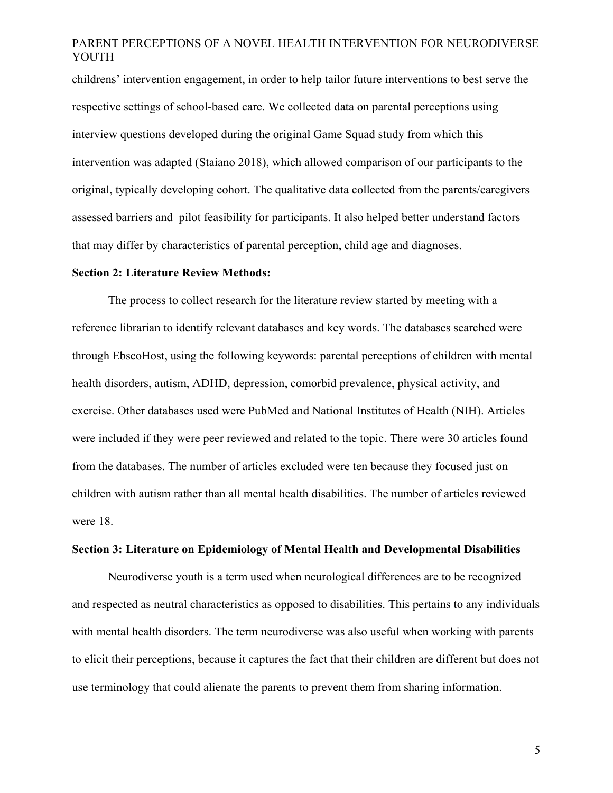childrens' intervention engagement, in order to help tailor future interventions to best serve the respective settings of school-based care. We collected data on parental perceptions using interview questions developed during the original Game Squad study from which this intervention was adapted (Staiano 2018), which allowed comparison of our participants to the original, typically developing cohort. The qualitative data collected from the parents/caregivers assessed barriers and pilot feasibility for participants. It also helped better understand factors that may differ by characteristics of parental perception, child age and diagnoses.

#### **Section 2: Literature Review Methods:**

The process to collect research for the literature review started by meeting with a reference librarian to identify relevant databases and key words. The databases searched were through EbscoHost, using the following keywords: parental perceptions of children with mental health disorders, autism, ADHD, depression, comorbid prevalence, physical activity, and exercise. Other databases used were PubMed and National Institutes of Health (NIH). Articles were included if they were peer reviewed and related to the topic. There were 30 articles found from the databases. The number of articles excluded were ten because they focused just on children with autism rather than all mental health disabilities. The number of articles reviewed were 18.

#### **Section 3: Literature on Epidemiology of Mental Health and Developmental Disabilities**

<span id="page-6-0"></span>Neurodiverse youth is a term used when neurological differences are to be recognized and respected as neutral characteristics as opposed to disabilities. This pertains to any individuals with mental health disorders. The term neurodiverse was also useful when working with parents to elicit their perceptions, because it captures the fact that their children are different but does not use terminology that could alienate the parents to prevent them from sharing information.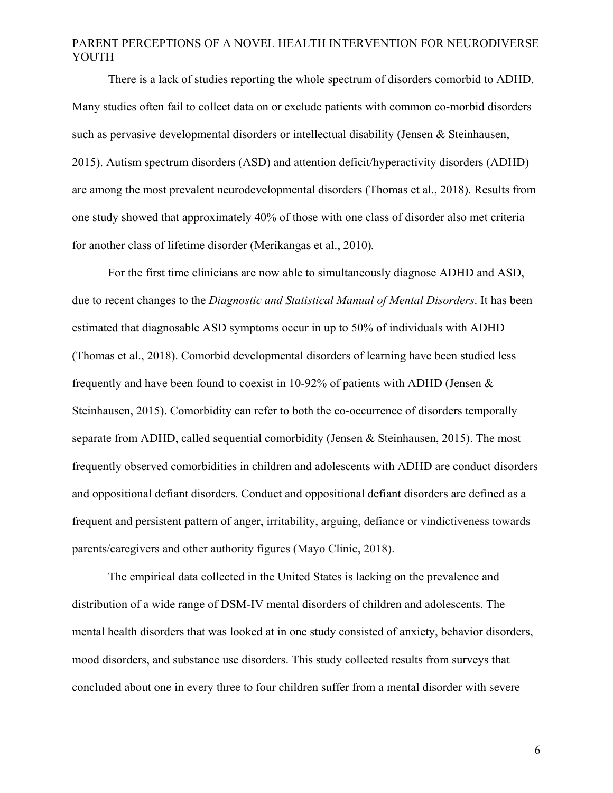There is a lack of studies reporting the whole spectrum of disorders comorbid to ADHD. Many studies often fail to collect data on or exclude patients with common co-morbid disorders such as pervasive developmental disorders or intellectual disability (Jensen & Steinhausen, 2015). Autism spectrum disorders (ASD) and attention deficit/hyperactivity disorders (ADHD) are among the most prevalent neurodevelopmental disorders (Thomas et al., 2018). Results from one study showed that approximately 40% of those with one class of disorder also met criteria for another class of lifetime disorder (Merikangas et al., 2010)*.*

For the first time clinicians are now able to simultaneously diagnose ADHD and ASD, due to recent changes to the *Diagnostic and Statistical Manual of Mental Disorders*. It has been estimated that diagnosable ASD symptoms occur in up to 50% of individuals with ADHD (Thomas et al., 2018). Comorbid developmental disorders of learning have been studied less frequently and have been found to coexist in 10-92% of patients with ADHD (Jensen & Steinhausen, 2015). Comorbidity can refer to both the co-occurrence of disorders temporally separate from ADHD, called sequential comorbidity (Jensen & Steinhausen, 2015). The most frequently observed comorbidities in children and adolescents with ADHD are conduct disorders and oppositional defiant disorders. Conduct and oppositional defiant disorders are defined as a frequent and persistent pattern of anger, irritability, arguing, defiance or vindictiveness towards parents/caregivers and other authority figures (Mayo Clinic, 2018).

The empirical data collected in the United States is lacking on the prevalence and distribution of a wide range of DSM-IV mental disorders of children and adolescents. The mental health disorders that was looked at in one study consisted of anxiety, behavior disorders, mood disorders, and substance use disorders. This study collected results from surveys that concluded about one in every three to four children suffer from a mental disorder with severe

6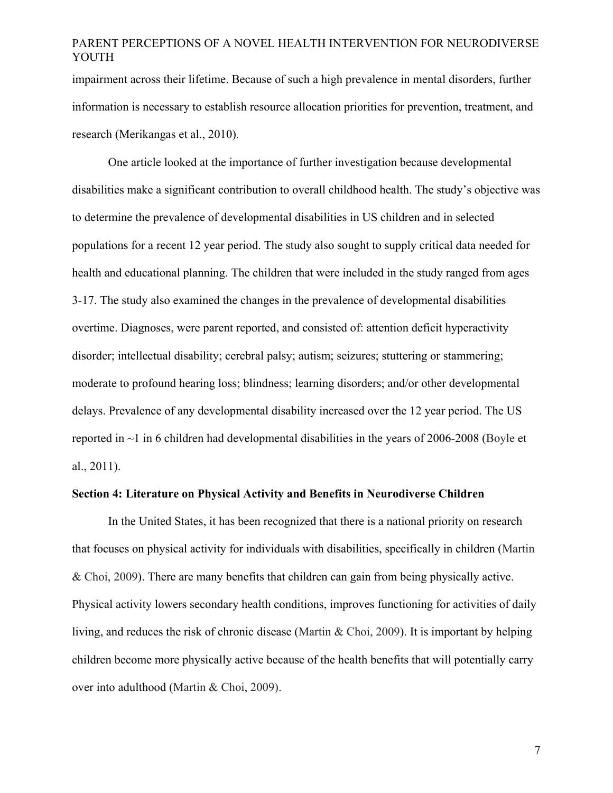impairment across their lifetime. Because of such a high prevalence in mental disorders, further information is necessary to establish resource allocation priorities for prevention, treatment, and research (Merikangas et al., 2010)*.*

One article looked at the importance of further investigation because developmental disabilities make a significant contribution to overall childhood health. The study's objective was to determine the prevalence of developmental disabilities in US children and in selected populations for a recent 12 year period. The study also sought to supply critical data needed for health and educational planning. The children that were included in the study ranged from ages 3-17. The study also examined the changes in the prevalence of developmental disabilities overtime. Diagnoses, were parent reported, and consisted of: attention deficit hyperactivity disorder; intellectual disability; cerebral palsy; autism; seizures; stuttering or stammering; moderate to profound hearing loss; blindness; learning disorders; and/or other developmental delays. Prevalence of any developmental disability increased over the 12 year period. The US reported in  $\sim$ 1 in 6 children had developmental disabilities in the years of 2006-2008 (Boyle et al., 2011).

#### **Section 4: Literature on Physical Activity and Benefits in Neurodiverse Children**

In the United States, it has been recognized that there is a national priority on research that focuses on physical activity for individuals with disabilities, specifically in children (Martin & Choi, 2009). There are many benefits that children can gain from being physically active. Physical activity lowers secondary health conditions, improves functioning for activities of daily living, and reduces the risk of chronic disease (Martin & Choi, 2009). It is important by helping children become more physically active because of the health benefits that will potentially carry over into adulthood (Martin & Choi, 2009).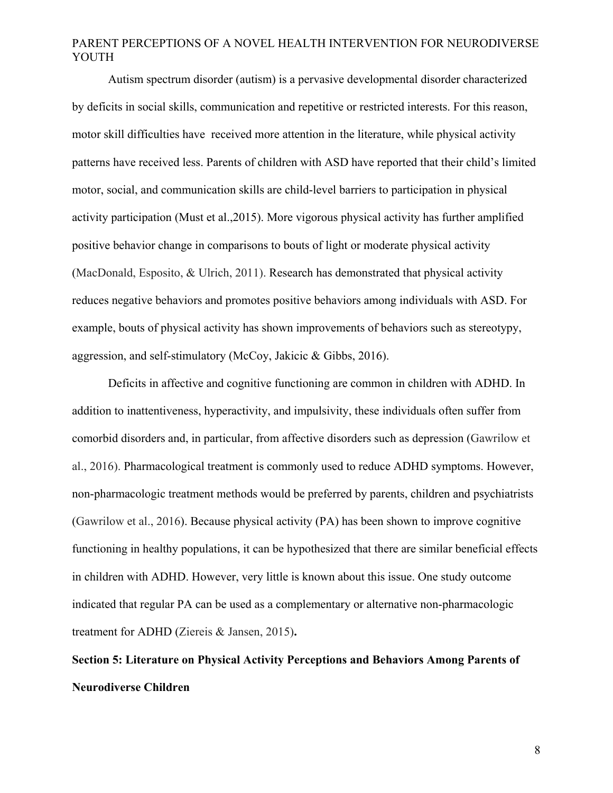Autism spectrum disorder (autism) is a pervasive developmental disorder characterized by deficits in social skills, communication and repetitive or restricted interests. For this reason, motor skill difficulties have received more attention in the literature, while physical activity patterns have received less. Parents of children with ASD have reported that their child's limited motor, social, and communication skills are child-level barriers to participation in physical activity participation (Must et al.,2015). More vigorous physical activity has further amplified positive behavior change in comparisons to bouts of light or moderate physical activity (MacDonald, Esposito, & Ulrich, 2011). Research has demonstrated that physical activity reduces negative behaviors and promotes positive behaviors among individuals with ASD. For example, bouts of physical activity has shown improvements of behaviors such as stereotypy, aggression, and self-stimulatory (McCoy, Jakicic & Gibbs, 2016).

Deficits in affective and cognitive functioning are common in children with ADHD. In addition to inattentiveness, hyperactivity, and impulsivity, these individuals often suffer from comorbid disorders and, in particular, from affective disorders such as depression (Gawrilow et al., 2016). Pharmacological treatment is commonly used to reduce ADHD symptoms. However, non-pharmacologic treatment methods would be preferred by parents, children and psychiatrists (Gawrilow et al., 2016). Because physical activity (PA) has been shown to improve cognitive functioning in healthy populations, it can be hypothesized that there are similar beneficial effects in children with ADHD. However, very little is known about this issue. One study outcome indicated that regular PA can be used as a complementary or alternative non-pharmacologic treatment for ADHD (Ziereis & Jansen, 2015)**.**

# **Section 5: Literature on Physical Activity Perceptions and Behaviors Among Parents of Neurodiverse Children**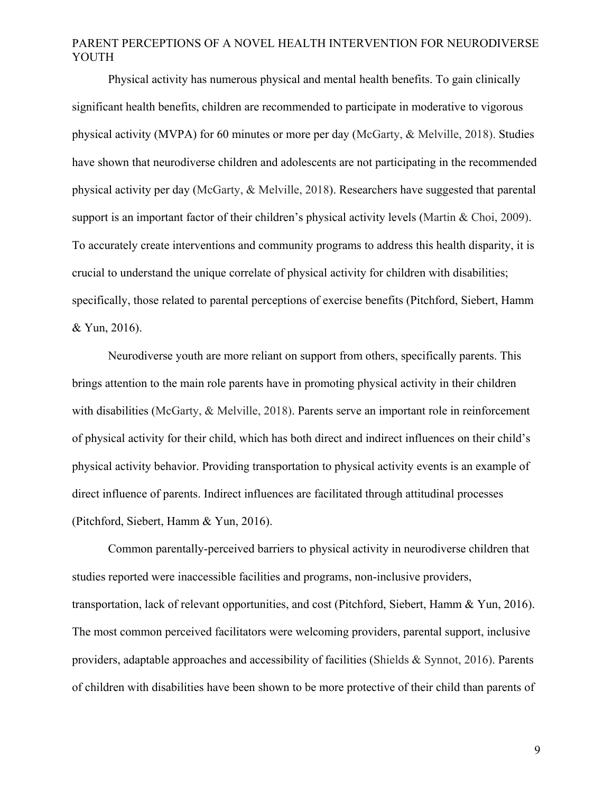Physical activity has numerous physical and mental health benefits. To gain clinically significant health benefits, children are recommended to participate in moderative to vigorous physical activity (MVPA) for 60 minutes or more per day (McGarty, & Melville, 2018). Studies have shown that neurodiverse children and adolescents are not participating in the recommended physical activity per day (McGarty, & Melville, 2018). Researchers have suggested that parental support is an important factor of their children's physical activity levels (Martin & Choi, 2009). To accurately create interventions and community programs to address this health disparity, it is crucial to understand the unique correlate of physical activity for children with disabilities; specifically, those related to parental perceptions of exercise benefits (Pitchford, Siebert, Hamm & Yun, 2016).

Neurodiverse youth are more reliant on support from others, specifically parents. This brings attention to the main role parents have in promoting physical activity in their children with disabilities (McGarty, & Melville, 2018). Parents serve an important role in reinforcement of physical activity for their child, which has both direct and indirect influences on their child's physical activity behavior. Providing transportation to physical activity events is an example of direct influence of parents. Indirect influences are facilitated through attitudinal processes (Pitchford, Siebert, Hamm & Yun, 2016).

Common parentally-perceived barriers to physical activity in neurodiverse children that studies reported were inaccessible facilities and programs, non-inclusive providers, transportation, lack of relevant opportunities, and cost (Pitchford, Siebert, Hamm & Yun, 2016). The most common perceived facilitators were welcoming providers, parental support, inclusive providers, adaptable approaches and accessibility of facilities (Shields & Synnot, 2016). Parents of children with disabilities have been shown to be more protective of their child than parents of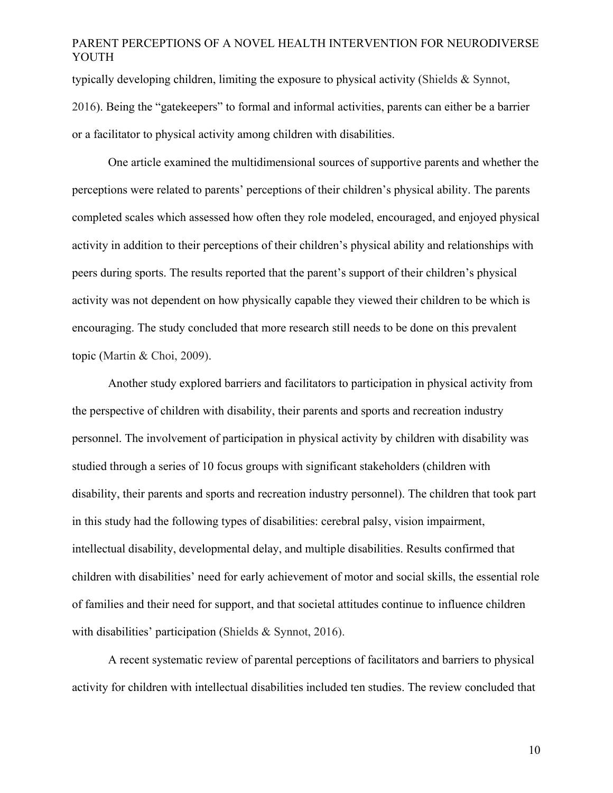typically developing children, limiting the exposure to physical activity (Shields & Synnot, 2016). Being the "gatekeepers" to formal and informal activities, parents can either be a barrier or a facilitator to physical activity among children with disabilities.

One article examined the multidimensional sources of supportive parents and whether the perceptions were related to parents' perceptions of their children's physical ability. The parents completed scales which assessed how often they role modeled, encouraged, and enjoyed physical activity in addition to their perceptions of their children's physical ability and relationships with peers during sports. The results reported that the parent's support of their children's physical activity was not dependent on how physically capable they viewed their children to be which is encouraging. The study concluded that more research still needs to be done on this prevalent topic (Martin & Choi, 2009).

Another study explored barriers and facilitators to participation in physical activity from the perspective of children with disability, their parents and sports and recreation industry personnel. The involvement of participation in physical activity by children with disability was studied through a series of 10 focus groups with significant stakeholders (children with disability, their parents and sports and recreation industry personnel). The children that took part in this study had the following types of disabilities: cerebral palsy, vision impairment, intellectual disability, developmental delay, and multiple disabilities. Results confirmed that children with disabilities' need for early achievement of motor and social skills, the essential role of families and their need for support, and that societal attitudes continue to influence children with disabilities' participation (Shields & Synnot, 2016).

A recent systematic review of parental perceptions of facilitators and barriers to physical activity for children with intellectual disabilities included ten studies. The review concluded that

10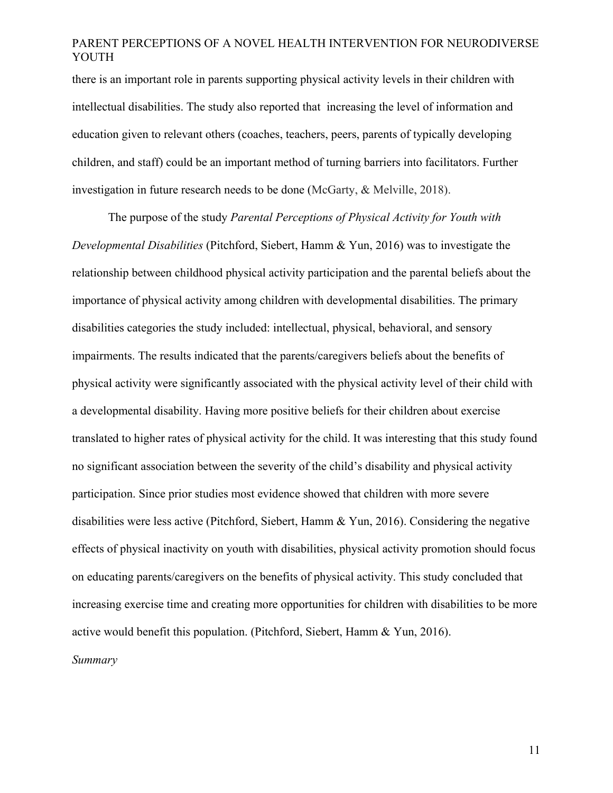there is an important role in parents supporting physical activity levels in their children with intellectual disabilities. The study also reported that increasing the level of information and education given to relevant others (coaches, teachers, peers, parents of typically developing children, and staff) could be an important method of turning barriers into facilitators. Further investigation in future research needs to be done (McGarty, & Melville, 2018).

The purpose of the study *Parental Perceptions of Physical Activity for Youth with Developmental Disabilities* (Pitchford, Siebert, Hamm & Yun, 2016) was to investigate the relationship between childhood physical activity participation and the parental beliefs about the importance of physical activity among children with developmental disabilities. The primary disabilities categories the study included: intellectual, physical, behavioral, and sensory impairments. The results indicated that the parents/caregivers beliefs about the benefits of physical activity were significantly associated with the physical activity level of their child with a developmental disability. Having more positive beliefs for their children about exercise translated to higher rates of physical activity for the child. It was interesting that this study found no significant association between the severity of the child's disability and physical activity participation. Since prior studies most evidence showed that children with more severe disabilities were less active (Pitchford, Siebert, Hamm & Yun, 2016). Considering the negative effects of physical inactivity on youth with disabilities, physical activity promotion should focus on educating parents/caregivers on the benefits of physical activity. This study concluded that increasing exercise time and creating more opportunities for children with disabilities to be more active would benefit this population. (Pitchford, Siebert, Hamm & Yun, 2016). *Summary*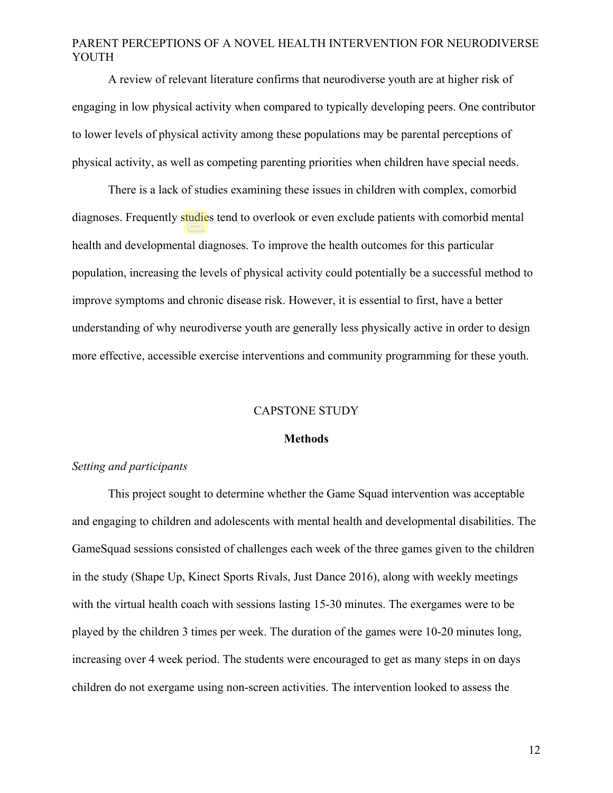A review of relevant literature confirms that neurodiverse youth are at higher risk of engaging in low physical activity when compared to typically developing peers. One contributor to lower levels of physical activity among these populations may be parental perceptions of physical activity, as well as competing parenting priorities when children have special needs.

There is a lack of studies examining these issues in children with complex, comorbid diagnoses. Frequently studies tend to overlook or even exclude patients with comorbid mental health and developmental diagnoses. To improve the health outcomes for this particular population, increasing the levels of physical activity could potentially be a successful method to improve symptoms and chronic disease risk. However, it is essential to first, have a better understanding of why neurodiverse youth are generally less physically active in order to design more effective, accessible exercise interventions and community programming for these youth.

#### CAPSTONE STUDY

#### **Methods**

#### *Setting and participants*

This project sought to determine whether the Game Squad intervention was acceptable and engaging to children and adolescents with mental health and developmental disabilities. The GameSquad sessions consisted of challenges each week of the three games given to the children in the study (Shape Up, Kinect Sports Rivals, Just Dance 2016), along with weekly meetings with the virtual health coach with sessions lasting 15-30 minutes. The exergames were to be played by the children 3 times per week. The duration of the games were 10-20 minutes long, increasing over 4 week period. The students were encouraged to get as many steps in on days children do not exergame using non-screen activities. The intervention looked to assess the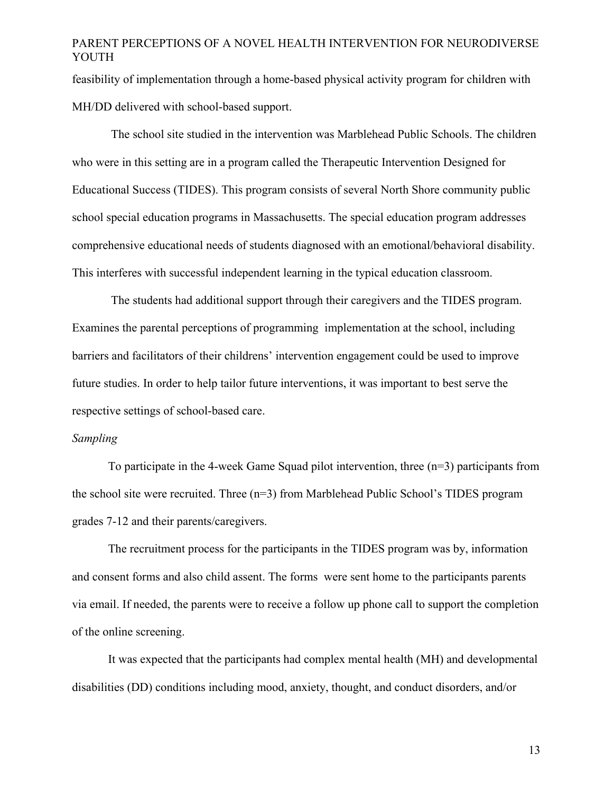feasibility of implementation through a home-based physical activity program for children with MH/DD delivered with school-based support.

The school site studied in the intervention was Marblehead Public Schools. The children who were in this setting are in a program called the Therapeutic Intervention Designed for Educational Success (TIDES). This program consists of several North Shore community public school special education programs in Massachusetts. The special education program addresses comprehensive educational needs of students diagnosed with an emotional/behavioral disability. This interferes with successful independent learning in the typical education classroom.

The students had additional support through their caregivers and the TIDES program. Examines the parental perceptions of programming implementation at the school, including barriers and facilitators of their childrens' intervention engagement could be used to improve future studies. In order to help tailor future interventions, it was important to best serve the respective settings of school-based care.

#### *Sampling*

To participate in the 4-week Game Squad pilot intervention, three  $(n=3)$  participants from the school site were recruited. Three (n=3) from Marblehead Public School's TIDES program grades 7-12 and their parents/caregivers.

The recruitment process for the participants in the TIDES program was by, information and consent forms and also child assent. The forms were sent home to the participants parents via email. If needed, the parents were to receive a follow up phone call to support the completion of the online screening.

It was expected that the participants had complex mental health (MH) and developmental disabilities (DD) conditions including mood, anxiety, thought, and conduct disorders, and/or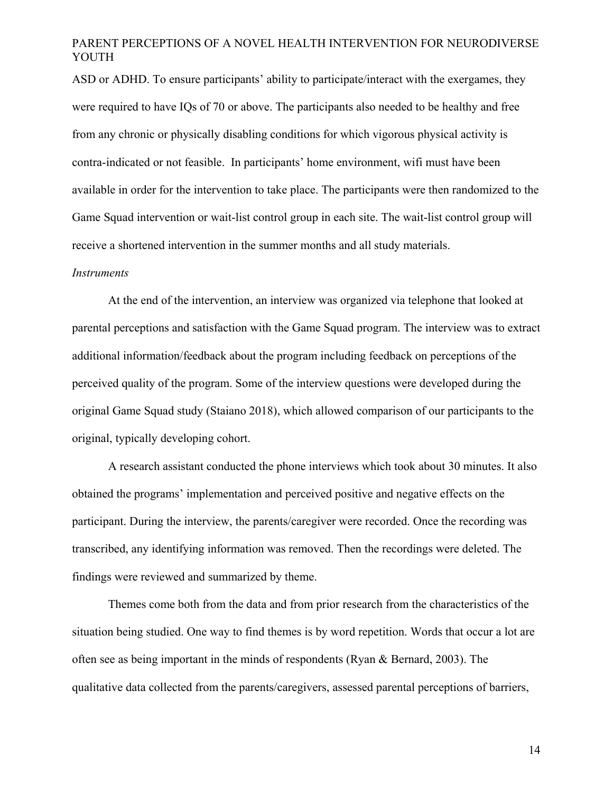ASD or ADHD. To ensure participants' ability to participate/interact with the exergames, they were required to have IQs of 70 or above. The participants also needed to be healthy and free from any chronic or physically disabling conditions for which vigorous physical activity is contra-indicated or not feasible. In participants' home environment, wifi must have been available in order for the intervention to take place. The participants were then randomized to the Game Squad intervention or wait-list control group in each site. The wait-list control group will receive a shortened intervention in the summer months and all study materials.

#### *Instruments*

At the end of the intervention, an interview was organized via telephone that looked at parental perceptions and satisfaction with the Game Squad program. The interview was to extract additional information/feedback about the program including feedback on perceptions of the perceived quality of the program. Some of the interview questions were developed during the original Game Squad study (Staiano 2018), which allowed comparison of our participants to the original, typically developing cohort.

A research assistant conducted the phone interviews which took about 30 minutes. It also obtained the programs' implementation and perceived positive and negative effects on the participant. During the interview, the parents/caregiver were recorded. Once the recording was transcribed, any identifying information was removed. Then the recordings were deleted. The findings were reviewed and summarized by theme.

Themes come both from the data and from prior research from the characteristics of the situation being studied. One way to find themes is by word repetition. Words that occur a lot are often see as being important in the minds of respondents (Ryan & Bernard, 2003). The qualitative data collected from the parents/caregivers, assessed parental perceptions of barriers,

14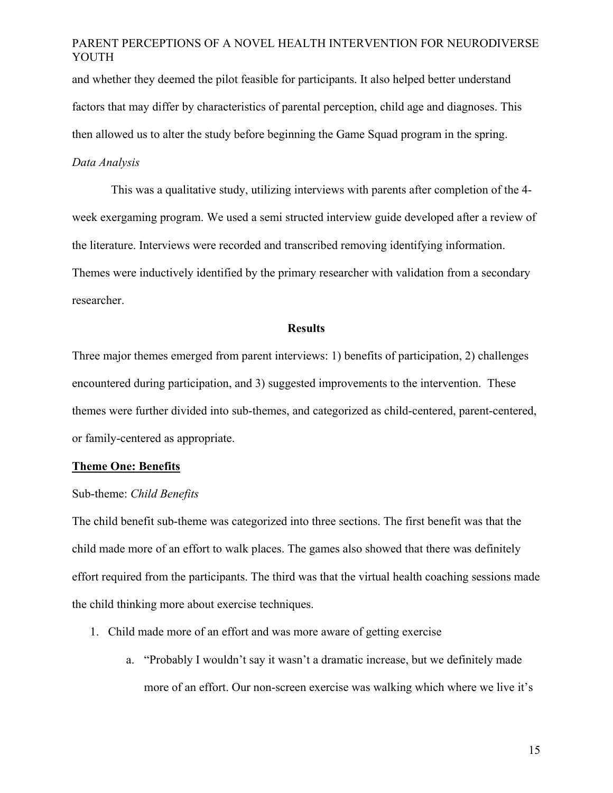and whether they deemed the pilot feasible for participants. It also helped better understand factors that may differ by characteristics of parental perception, child age and diagnoses. This then allowed us to alter the study before beginning the Game Squad program in the spring.

### *Data Analysis*

This was a qualitative study, utilizing interviews with parents after completion of the 4 week exergaming program. We used a semi structed interview guide developed after a review of the literature. Interviews were recorded and transcribed removing identifying information. Themes were inductively identified by the primary researcher with validation from a secondary researcher.

#### **Results**

Three major themes emerged from parent interviews: 1) benefits of participation, 2) challenges encountered during participation, and 3) suggested improvements to the intervention. These themes were further divided into sub-themes, and categorized as child-centered, parent-centered, or family-centered as appropriate.

#### **Theme One: Benefits**

#### Sub-theme: *Child Benefits*

The child benefit sub-theme was categorized into three sections. The first benefit was that the child made more of an effort to walk places. The games also showed that there was definitely effort required from the participants. The third was that the virtual health coaching sessions made the child thinking more about exercise techniques.

- 1. Child made more of an effort and was more aware of getting exercise
	- a. "Probably I wouldn't say it wasn't a dramatic increase, but we definitely made more of an effort. Our non-screen exercise was walking which where we live it's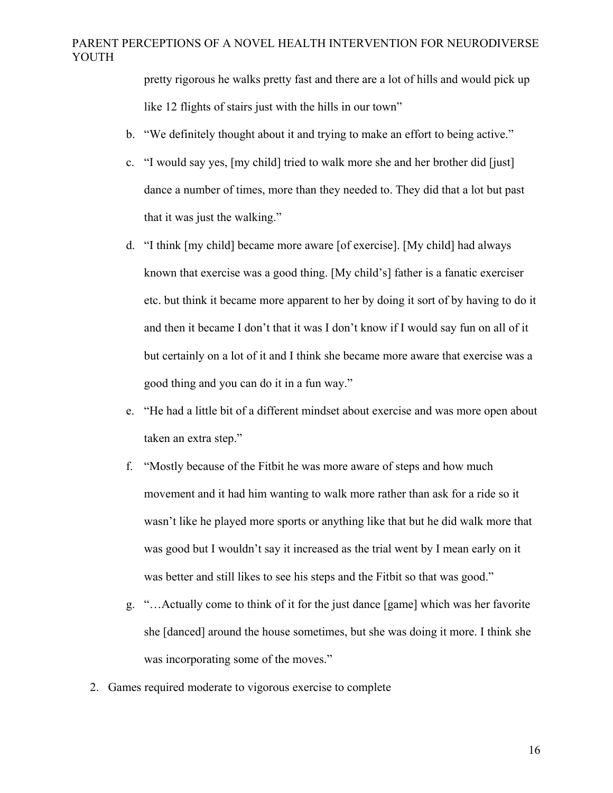pretty rigorous he walks pretty fast and there are a lot of hills and would pick up like 12 flights of stairs just with the hills in our town"

- b. "We definitely thought about it and trying to make an effort to being active."
- c. "I would say yes, [my child] tried to walk more she and her brother did [just] dance a number of times, more than they needed to. They did that a lot but past that it was just the walking."
- d. "I think [my child] became more aware [of exercise]. [My child] had always known that exercise was a good thing. [My child's] father is a fanatic exerciser etc. but think it became more apparent to her by doing it sort of by having to do it and then it became I don't that it was I don't know if I would say fun on all of it but certainly on a lot of it and I think she became more aware that exercise was a good thing and you can do it in a fun way."
- e. "He had a little bit of a different mindset about exercise and was more open about taken an extra step."
- f. "Mostly because of the Fitbit he was more aware of steps and how much movement and it had him wanting to walk more rather than ask for a ride so it wasn't like he played more sports or anything like that but he did walk more that was good but I wouldn't say it increased as the trial went by I mean early on it was better and still likes to see his steps and the Fitbit so that was good."
- g. "…Actually come to think of it for the just dance [game] which was her favorite she [danced] around the house sometimes, but she was doing it more. I think she was incorporating some of the moves."
- 2. Games required moderate to vigorous exercise to complete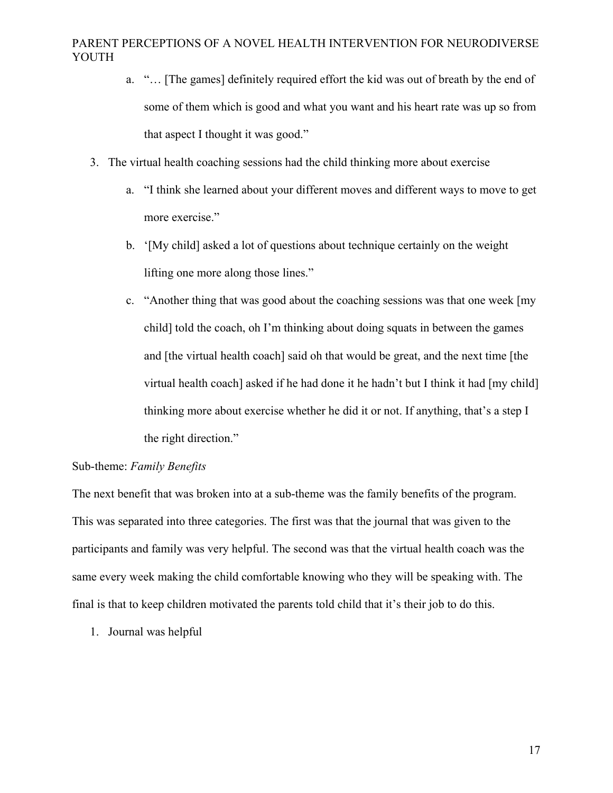- a. "… [The games] definitely required effort the kid was out of breath by the end of some of them which is good and what you want and his heart rate was up so from that aspect I thought it was good."
- 3. The virtual health coaching sessions had the child thinking more about exercise
	- a. "I think she learned about your different moves and different ways to move to get more exercise."
	- b. '[My child] asked a lot of questions about technique certainly on the weight lifting one more along those lines."
	- c. "Another thing that was good about the coaching sessions was that one week [my child] told the coach, oh I'm thinking about doing squats in between the games and [the virtual health coach] said oh that would be great, and the next time [the virtual health coach] asked if he had done it he hadn't but I think it had [my child] thinking more about exercise whether he did it or not. If anything, that's a step I the right direction."

### Sub-theme: *Family Benefits*

The next benefit that was broken into at a sub-theme was the family benefits of the program. This was separated into three categories. The first was that the journal that was given to the participants and family was very helpful. The second was that the virtual health coach was the same every week making the child comfortable knowing who they will be speaking with. The final is that to keep children motivated the parents told child that it's their job to do this.

1. Journal was helpful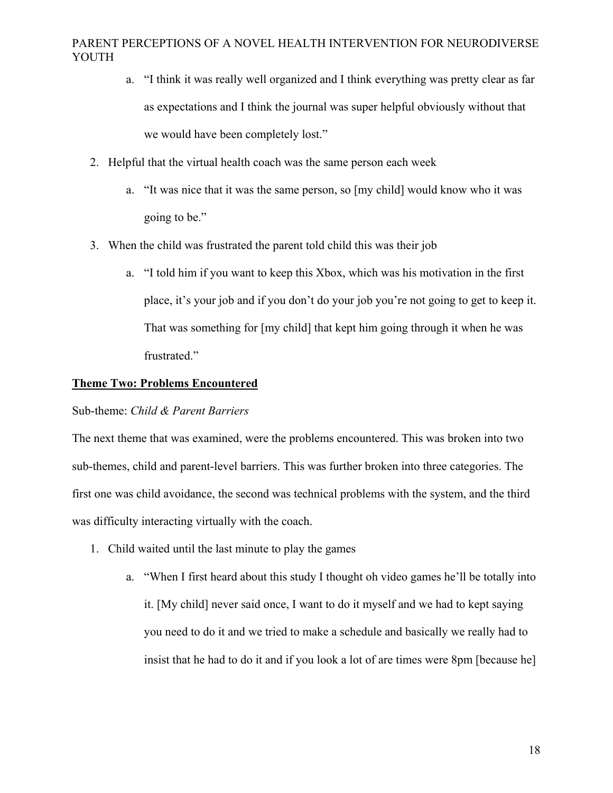- a. "I think it was really well organized and I think everything was pretty clear as far as expectations and I think the journal was super helpful obviously without that we would have been completely lost."
- 2. Helpful that the virtual health coach was the same person each week
	- a. "It was nice that it was the same person, so [my child] would know who it was going to be."
- 3. When the child was frustrated the parent told child this was their job
	- a. "I told him if you want to keep this Xbox, which was his motivation in the first place, it's your job and if you don't do your job you're not going to get to keep it. That was something for [my child] that kept him going through it when he was frustrated."

#### **Theme Two: Problems Encountered**

#### Sub-theme: *Child & Parent Barriers*

The next theme that was examined, were the problems encountered. This was broken into two sub-themes, child and parent-level barriers. This was further broken into three categories. The first one was child avoidance, the second was technical problems with the system, and the third was difficulty interacting virtually with the coach.

- 1. Child waited until the last minute to play the games
	- a. "When I first heard about this study I thought oh video games he'll be totally into it. [My child] never said once, I want to do it myself and we had to kept saying you need to do it and we tried to make a schedule and basically we really had to insist that he had to do it and if you look a lot of are times were 8pm [because he]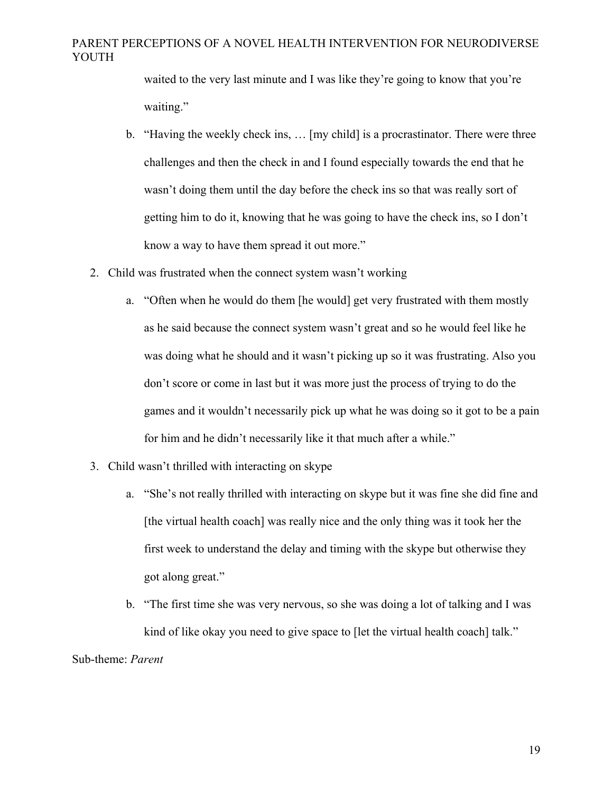waited to the very last minute and I was like they're going to know that you're waiting."

- b. "Having the weekly check ins, … [my child] is a procrastinator. There were three challenges and then the check in and I found especially towards the end that he wasn't doing them until the day before the check ins so that was really sort of getting him to do it, knowing that he was going to have the check ins, so I don't know a way to have them spread it out more."
- 2. Child was frustrated when the connect system wasn't working
	- a. "Often when he would do them [he would] get very frustrated with them mostly as he said because the connect system wasn't great and so he would feel like he was doing what he should and it wasn't picking up so it was frustrating. Also you don't score or come in last but it was more just the process of trying to do the games and it wouldn't necessarily pick up what he was doing so it got to be a pain for him and he didn't necessarily like it that much after a while."
- 3. Child wasn't thrilled with interacting on skype
	- a. "She's not really thrilled with interacting on skype but it was fine she did fine and [the virtual health coach] was really nice and the only thing was it took her the first week to understand the delay and timing with the skype but otherwise they got along great."
	- b. "The first time she was very nervous, so she was doing a lot of talking and I was kind of like okay you need to give space to [let the virtual health coach] talk."

#### Sub-theme: *Parent*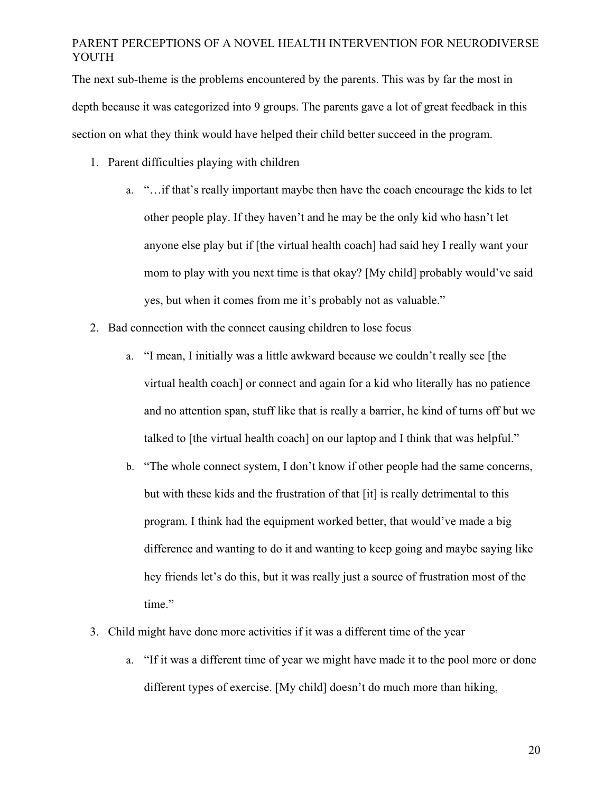The next sub-theme is the problems encountered by the parents. This was by far the most in depth because it was categorized into 9 groups. The parents gave a lot of great feedback in this section on what they think would have helped their child better succeed in the program.

- 1. Parent difficulties playing with children
	- a. "…if that's really important maybe then have the coach encourage the kids to let other people play. If they haven't and he may be the only kid who hasn't let anyone else play but if [the virtual health coach] had said hey I really want your mom to play with you next time is that okay? [My child] probably would've said yes, but when it comes from me it's probably not as valuable."
- 2. Bad connection with the connect causing children to lose focus
	- a. "I mean, I initially was a little awkward because we couldn't really see [the virtual health coach] or connect and again for a kid who literally has no patience and no attention span, stuff like that is really a barrier, he kind of turns off but we talked to [the virtual health coach] on our laptop and I think that was helpful."
	- b. "The whole connect system, I don't know if other people had the same concerns, but with these kids and the frustration of that [it] is really detrimental to this program. I think had the equipment worked better, that would've made a big difference and wanting to do it and wanting to keep going and maybe saying like hey friends let's do this, but it was really just a source of frustration most of the time."
- 3. Child might have done more activities if it was a different time of the year
	- a. "If it was a different time of year we might have made it to the pool more or done different types of exercise. [My child] doesn't do much more than hiking,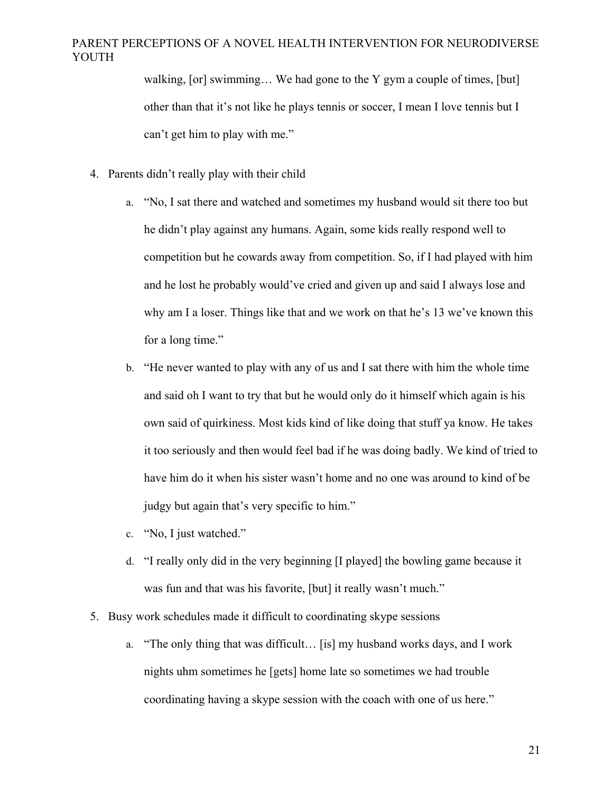walking, [or] swimming… We had gone to the Y gym a couple of times, [but] other than that it's not like he plays tennis or soccer, I mean I love tennis but I can't get him to play with me."

- 4. Parents didn't really play with their child
	- a. "No, I sat there and watched and sometimes my husband would sit there too but he didn't play against any humans. Again, some kids really respond well to competition but he cowards away from competition. So, if I had played with him and he lost he probably would've cried and given up and said I always lose and why am I a loser. Things like that and we work on that he's 13 we've known this for a long time."
	- b. "He never wanted to play with any of us and I sat there with him the whole time and said oh I want to try that but he would only do it himself which again is his own said of quirkiness. Most kids kind of like doing that stuff ya know. He takes it too seriously and then would feel bad if he was doing badly. We kind of tried to have him do it when his sister wasn't home and no one was around to kind of be judgy but again that's very specific to him."
	- c. "No, I just watched."
	- d. "I really only did in the very beginning [I played] the bowling game because it was fun and that was his favorite, [but] it really wasn't much."
- 5. Busy work schedules made it difficult to coordinating skype sessions
	- a. "The only thing that was difficult… [is] my husband works days, and I work nights uhm sometimes he [gets] home late so sometimes we had trouble coordinating having a skype session with the coach with one of us here."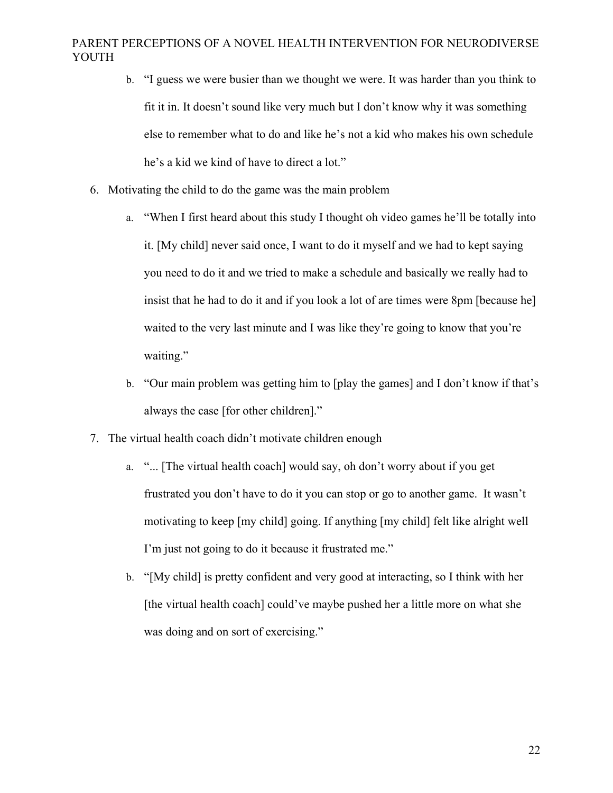- b. "I guess we were busier than we thought we were. It was harder than you think to fit it in. It doesn't sound like very much but I don't know why it was something else to remember what to do and like he's not a kid who makes his own schedule he's a kid we kind of have to direct a lot."
- 6. Motivating the child to do the game was the main problem
	- a. "When I first heard about this study I thought oh video games he'll be totally into it. [My child] never said once, I want to do it myself and we had to kept saying you need to do it and we tried to make a schedule and basically we really had to insist that he had to do it and if you look a lot of are times were 8pm [because he] waited to the very last minute and I was like they're going to know that you're waiting."
	- b. "Our main problem was getting him to [play the games] and I don't know if that's always the case [for other children]."
- 7. The virtual health coach didn't motivate children enough
	- a. "... [The virtual health coach] would say, oh don't worry about if you get frustrated you don't have to do it you can stop or go to another game. It wasn't motivating to keep [my child] going. If anything [my child] felt like alright well I'm just not going to do it because it frustrated me."
	- b. "[My child] is pretty confident and very good at interacting, so I think with her [the virtual health coach] could've maybe pushed her a little more on what she was doing and on sort of exercising."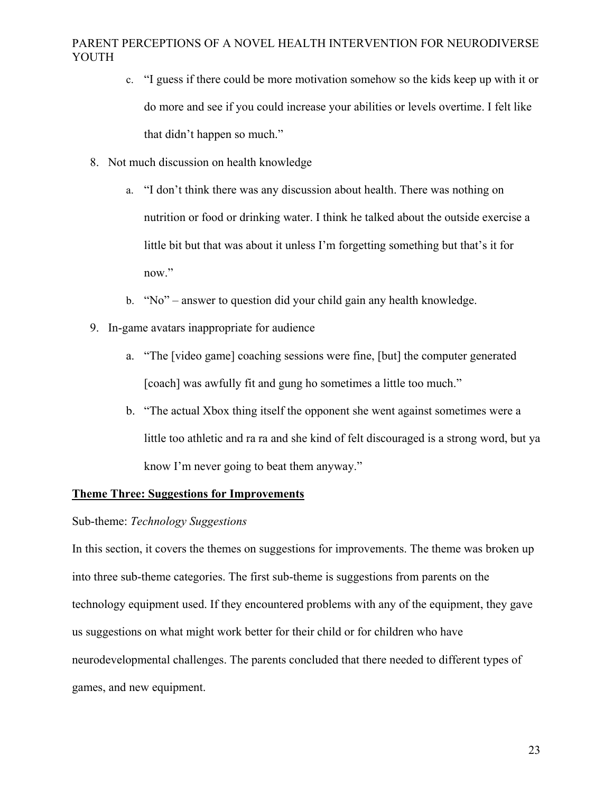- c. "I guess if there could be more motivation somehow so the kids keep up with it or do more and see if you could increase your abilities or levels overtime. I felt like that didn't happen so much."
- 8. Not much discussion on health knowledge
	- a. "I don't think there was any discussion about health. There was nothing on nutrition or food or drinking water. I think he talked about the outside exercise a little bit but that was about it unless I'm forgetting something but that's it for now."
	- b. "No" answer to question did your child gain any health knowledge.
- 9. In-game avatars inappropriate for audience
	- a. "The [video game] coaching sessions were fine, [but] the computer generated [coach] was awfully fit and gung ho sometimes a little too much."
	- b. "The actual Xbox thing itself the opponent she went against sometimes were a little too athletic and ra ra and she kind of felt discouraged is a strong word, but ya know I'm never going to beat them anyway."

## **Theme Three: Suggestions for Improvements**

#### Sub-theme: *Technology Suggestions*

In this section, it covers the themes on suggestions for improvements. The theme was broken up into three sub-theme categories. The first sub-theme is suggestions from parents on the technology equipment used. If they encountered problems with any of the equipment, they gave us suggestions on what might work better for their child or for children who have neurodevelopmental challenges. The parents concluded that there needed to different types of games, and new equipment.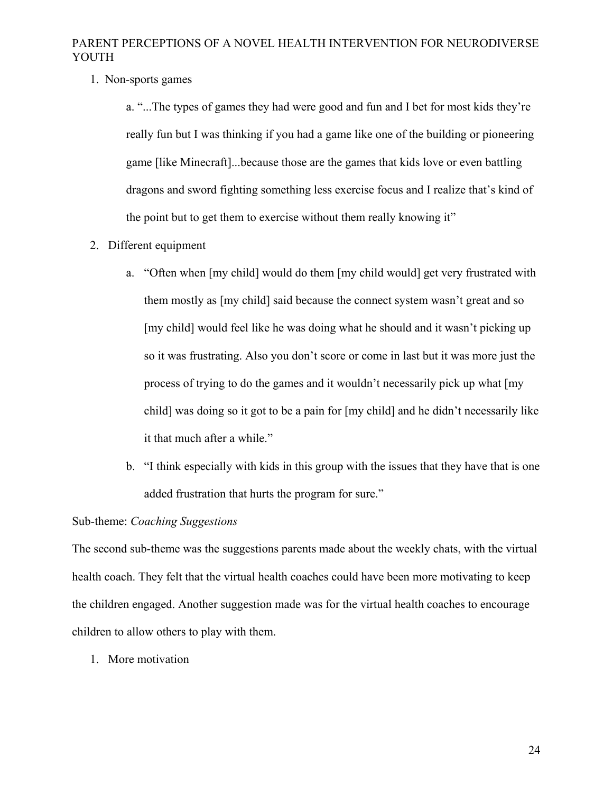1. Non-sports games

a. "...The types of games they had were good and fun and I bet for most kids they're really fun but I was thinking if you had a game like one of the building or pioneering game [like Minecraft]...because those are the games that kids love or even battling dragons and sword fighting something less exercise focus and I realize that's kind of the point but to get them to exercise without them really knowing it"

- 2. Different equipment
	- a. "Often when [my child] would do them [my child would] get very frustrated with them mostly as [my child] said because the connect system wasn't great and so [my child] would feel like he was doing what he should and it wasn't picking up so it was frustrating. Also you don't score or come in last but it was more just the process of trying to do the games and it wouldn't necessarily pick up what [my child] was doing so it got to be a pain for [my child] and he didn't necessarily like it that much after a while."
	- b. "I think especially with kids in this group with the issues that they have that is one added frustration that hurts the program for sure."

## Sub-theme: *Coaching Suggestions*

The second sub-theme was the suggestions parents made about the weekly chats, with the virtual health coach. They felt that the virtual health coaches could have been more motivating to keep the children engaged. Another suggestion made was for the virtual health coaches to encourage children to allow others to play with them.

1. More motivation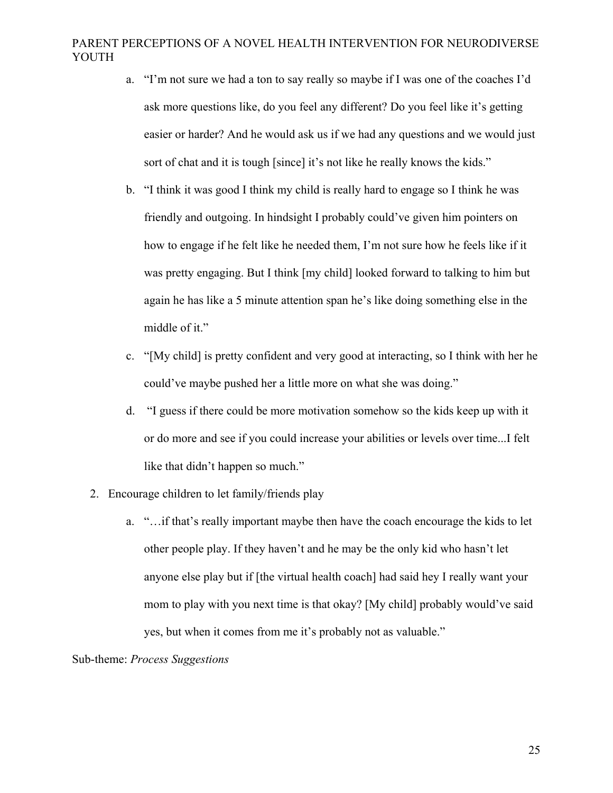- a. "I'm not sure we had a ton to say really so maybe if I was one of the coaches I'd ask more questions like, do you feel any different? Do you feel like it's getting easier or harder? And he would ask us if we had any questions and we would just sort of chat and it is tough [since] it's not like he really knows the kids."
- b. "I think it was good I think my child is really hard to engage so I think he was friendly and outgoing. In hindsight I probably could've given him pointers on how to engage if he felt like he needed them, I'm not sure how he feels like if it was pretty engaging. But I think [my child] looked forward to talking to him but again he has like a 5 minute attention span he's like doing something else in the middle of it."
- c. "[My child] is pretty confident and very good at interacting, so I think with her he could've maybe pushed her a little more on what she was doing."
- d. "I guess if there could be more motivation somehow so the kids keep up with it or do more and see if you could increase your abilities or levels over time...I felt like that didn't happen so much."
- 2. Encourage children to let family/friends play
	- a. "…if that's really important maybe then have the coach encourage the kids to let other people play. If they haven't and he may be the only kid who hasn't let anyone else play but if [the virtual health coach] had said hey I really want your mom to play with you next time is that okay? [My child] probably would've said yes, but when it comes from me it's probably not as valuable."

Sub-theme: *Process Suggestions*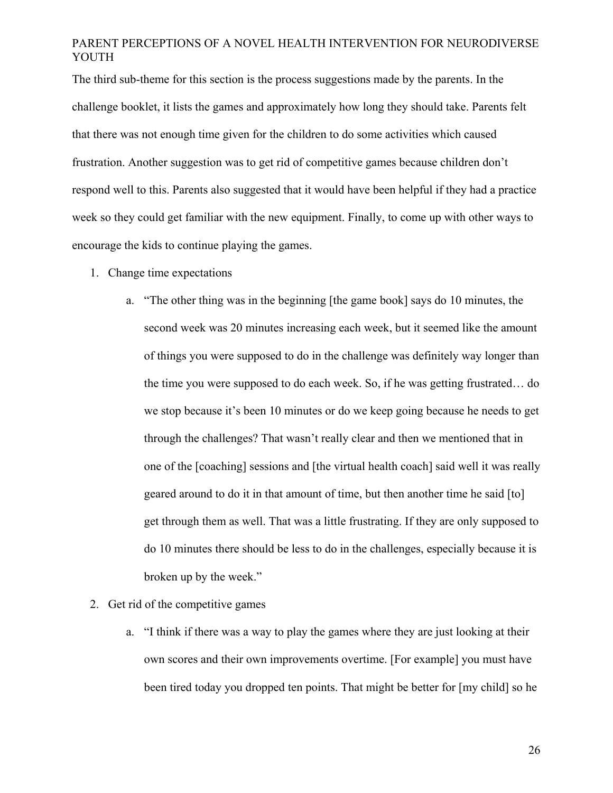The third sub-theme for this section is the process suggestions made by the parents. In the challenge booklet, it lists the games and approximately how long they should take. Parents felt that there was not enough time given for the children to do some activities which caused frustration. Another suggestion was to get rid of competitive games because children don't respond well to this. Parents also suggested that it would have been helpful if they had a practice week so they could get familiar with the new equipment. Finally, to come up with other ways to encourage the kids to continue playing the games.

- 1. Change time expectations
	- a. "The other thing was in the beginning [the game book] says do 10 minutes, the second week was 20 minutes increasing each week, but it seemed like the amount of things you were supposed to do in the challenge was definitely way longer than the time you were supposed to do each week. So, if he was getting frustrated… do we stop because it's been 10 minutes or do we keep going because he needs to get through the challenges? That wasn't really clear and then we mentioned that in one of the [coaching] sessions and [the virtual health coach] said well it was really geared around to do it in that amount of time, but then another time he said [to] get through them as well. That was a little frustrating. If they are only supposed to do 10 minutes there should be less to do in the challenges, especially because it is broken up by the week."
- 2. Get rid of the competitive games
	- a. "I think if there was a way to play the games where they are just looking at their own scores and their own improvements overtime. [For example] you must have been tired today you dropped ten points. That might be better for [my child] so he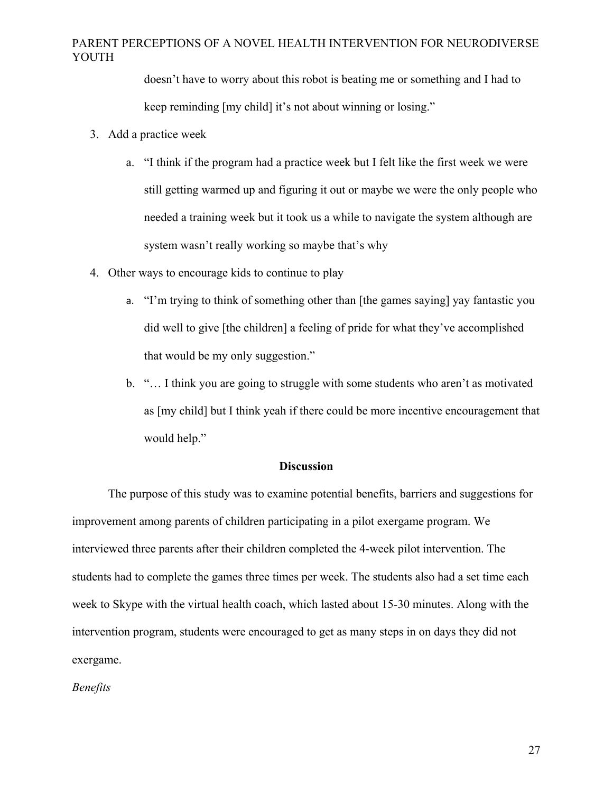doesn't have to worry about this robot is beating me or something and I had to keep reminding [my child] it's not about winning or losing."

- 3. Add a practice week
	- a. "I think if the program had a practice week but I felt like the first week we were still getting warmed up and figuring it out or maybe we were the only people who needed a training week but it took us a while to navigate the system although are system wasn't really working so maybe that's why
- 4. Other ways to encourage kids to continue to play
	- a. "I'm trying to think of something other than [the games saying] yay fantastic you did well to give [the children] a feeling of pride for what they've accomplished that would be my only suggestion."
	- b. "… I think you are going to struggle with some students who aren't as motivated as [my child] but I think yeah if there could be more incentive encouragement that would help."

#### **Discussion**

The purpose of this study was to examine potential benefits, barriers and suggestions for improvement among parents of children participating in a pilot exergame program. We interviewed three parents after their children completed the 4-week pilot intervention. The students had to complete the games three times per week. The students also had a set time each week to Skype with the virtual health coach, which lasted about 15-30 minutes. Along with the intervention program, students were encouraged to get as many steps in on days they did not exergame.

*Benefits*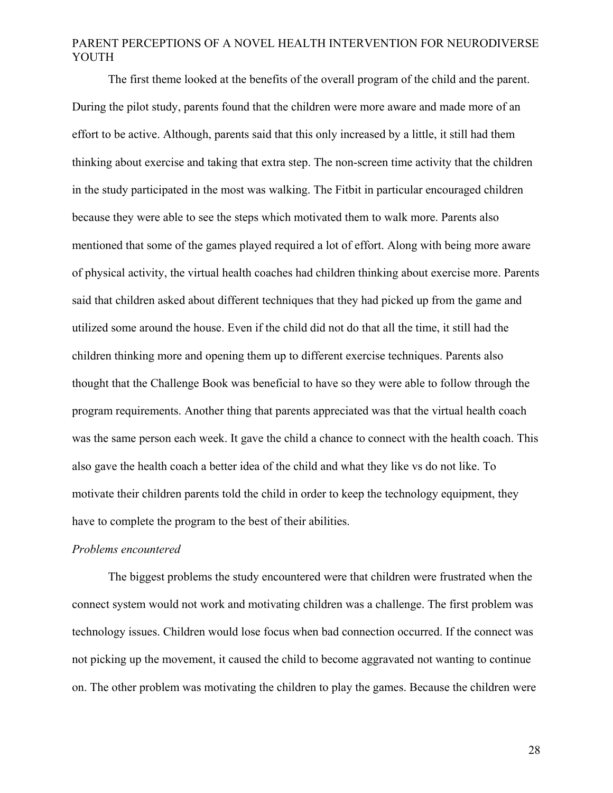The first theme looked at the benefits of the overall program of the child and the parent. During the pilot study, parents found that the children were more aware and made more of an effort to be active. Although, parents said that this only increased by a little, it still had them thinking about exercise and taking that extra step. The non-screen time activity that the children in the study participated in the most was walking. The Fitbit in particular encouraged children because they were able to see the steps which motivated them to walk more. Parents also mentioned that some of the games played required a lot of effort. Along with being more aware of physical activity, the virtual health coaches had children thinking about exercise more. Parents said that children asked about different techniques that they had picked up from the game and utilized some around the house. Even if the child did not do that all the time, it still had the children thinking more and opening them up to different exercise techniques. Parents also thought that the Challenge Book was beneficial to have so they were able to follow through the program requirements. Another thing that parents appreciated was that the virtual health coach was the same person each week. It gave the child a chance to connect with the health coach. This also gave the health coach a better idea of the child and what they like vs do not like. To motivate their children parents told the child in order to keep the technology equipment, they have to complete the program to the best of their abilities.

#### *Problems encountered*

The biggest problems the study encountered were that children were frustrated when the connect system would not work and motivating children was a challenge. The first problem was technology issues. Children would lose focus when bad connection occurred. If the connect was not picking up the movement, it caused the child to become aggravated not wanting to continue on. The other problem was motivating the children to play the games. Because the children were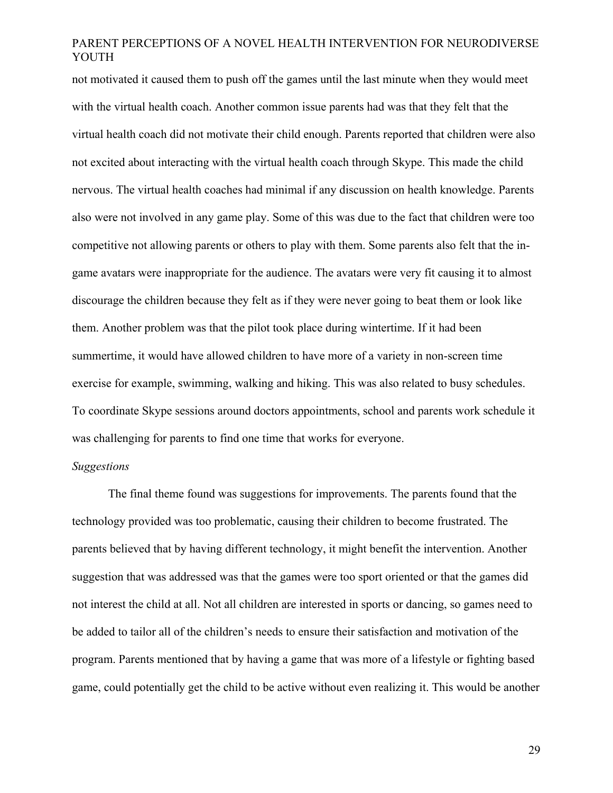not motivated it caused them to push off the games until the last minute when they would meet with the virtual health coach. Another common issue parents had was that they felt that the virtual health coach did not motivate their child enough. Parents reported that children were also not excited about interacting with the virtual health coach through Skype. This made the child nervous. The virtual health coaches had minimal if any discussion on health knowledge. Parents also were not involved in any game play. Some of this was due to the fact that children were too competitive not allowing parents or others to play with them. Some parents also felt that the ingame avatars were inappropriate for the audience. The avatars were very fit causing it to almost discourage the children because they felt as if they were never going to beat them or look like them. Another problem was that the pilot took place during wintertime. If it had been summertime, it would have allowed children to have more of a variety in non-screen time exercise for example, swimming, walking and hiking. This was also related to busy schedules. To coordinate Skype sessions around doctors appointments, school and parents work schedule it was challenging for parents to find one time that works for everyone.

#### *Suggestions*

The final theme found was suggestions for improvements. The parents found that the technology provided was too problematic, causing their children to become frustrated. The parents believed that by having different technology, it might benefit the intervention. Another suggestion that was addressed was that the games were too sport oriented or that the games did not interest the child at all. Not all children are interested in sports or dancing, so games need to be added to tailor all of the children's needs to ensure their satisfaction and motivation of the program. Parents mentioned that by having a game that was more of a lifestyle or fighting based game, could potentially get the child to be active without even realizing it. This would be another

29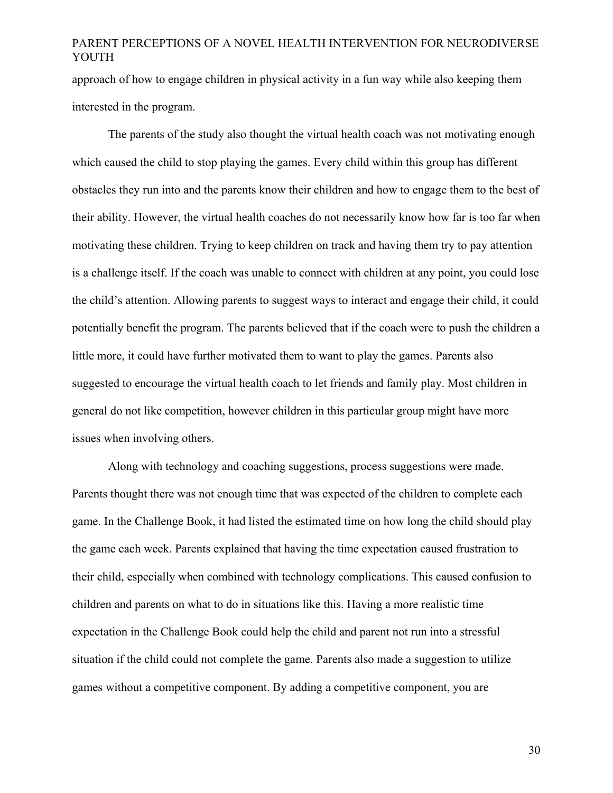approach of how to engage children in physical activity in a fun way while also keeping them interested in the program.

The parents of the study also thought the virtual health coach was not motivating enough which caused the child to stop playing the games. Every child within this group has different obstacles they run into and the parents know their children and how to engage them to the best of their ability. However, the virtual health coaches do not necessarily know how far is too far when motivating these children. Trying to keep children on track and having them try to pay attention is a challenge itself. If the coach was unable to connect with children at any point, you could lose the child's attention. Allowing parents to suggest ways to interact and engage their child, it could potentially benefit the program. The parents believed that if the coach were to push the children a little more, it could have further motivated them to want to play the games. Parents also suggested to encourage the virtual health coach to let friends and family play. Most children in general do not like competition, however children in this particular group might have more issues when involving others.

Along with technology and coaching suggestions, process suggestions were made. Parents thought there was not enough time that was expected of the children to complete each game. In the Challenge Book, it had listed the estimated time on how long the child should play the game each week. Parents explained that having the time expectation caused frustration to their child, especially when combined with technology complications. This caused confusion to children and parents on what to do in situations like this. Having a more realistic time expectation in the Challenge Book could help the child and parent not run into a stressful situation if the child could not complete the game. Parents also made a suggestion to utilize games without a competitive component. By adding a competitive component, you are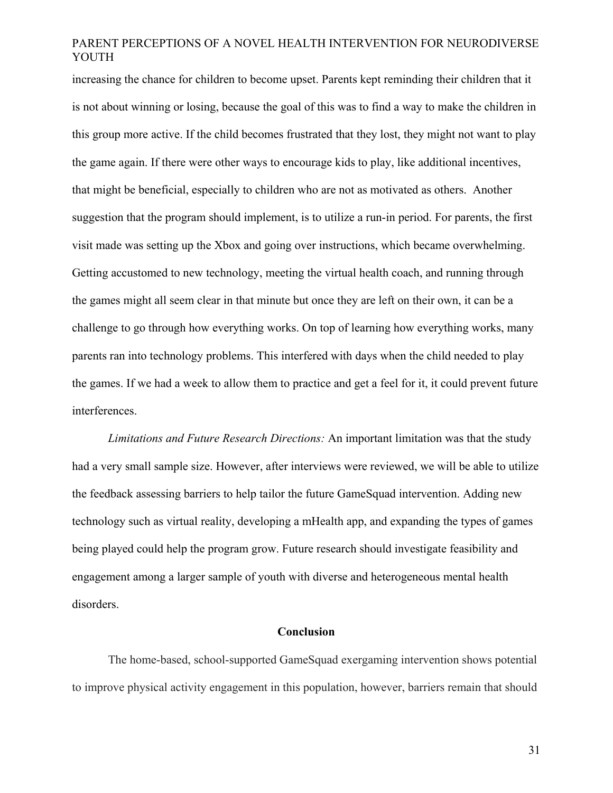increasing the chance for children to become upset. Parents kept reminding their children that it is not about winning or losing, because the goal of this was to find a way to make the children in this group more active. If the child becomes frustrated that they lost, they might not want to play the game again. If there were other ways to encourage kids to play, like additional incentives, that might be beneficial, especially to children who are not as motivated as others. Another suggestion that the program should implement, is to utilize a run-in period. For parents, the first visit made was setting up the Xbox and going over instructions, which became overwhelming. Getting accustomed to new technology, meeting the virtual health coach, and running through the games might all seem clear in that minute but once they are left on their own, it can be a challenge to go through how everything works. On top of learning how everything works, many parents ran into technology problems. This interfered with days when the child needed to play the games. If we had a week to allow them to practice and get a feel for it, it could prevent future interferences.

*Limitations and Future Research Directions:* An important limitation was that the study had a very small sample size. However, after interviews were reviewed, we will be able to utilize the feedback assessing barriers to help tailor the future GameSquad intervention. Adding new technology such as virtual reality, developing a mHealth app, and expanding the types of games being played could help the program grow. Future research should investigate feasibility and engagement among a larger sample of youth with diverse and heterogeneous mental health disorders.

#### **Conclusion**

The home-based, school-supported GameSquad exergaming intervention shows potential to improve physical activity engagement in this population, however, barriers remain that should

31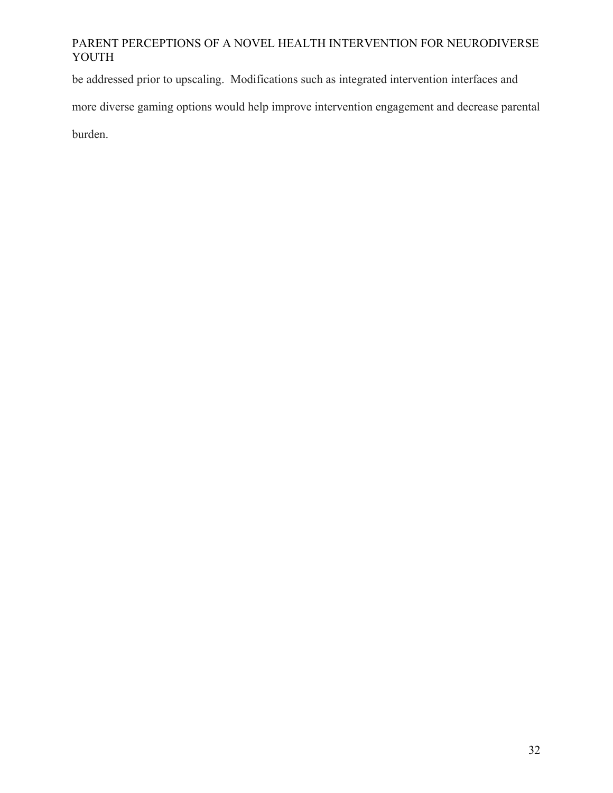be addressed prior to upscaling. Modifications such as integrated intervention interfaces and

more diverse gaming options would help improve intervention engagement and decrease parental

burden.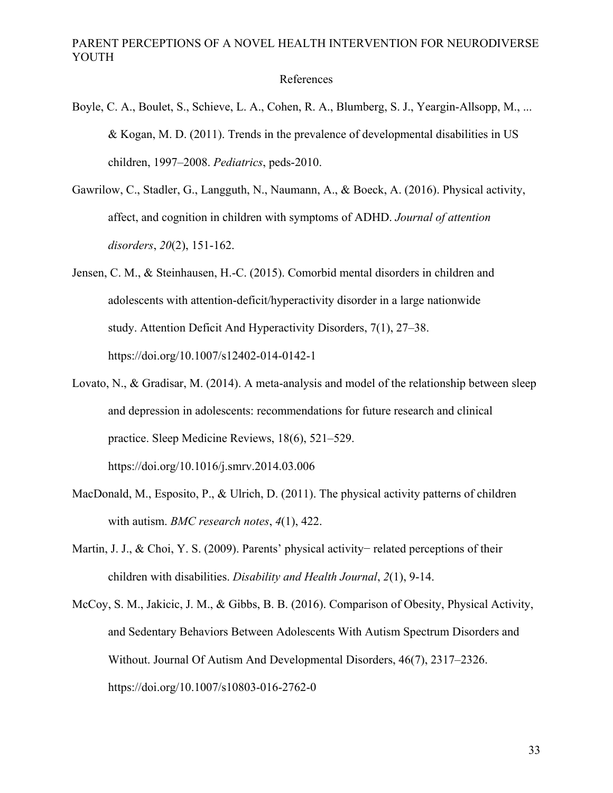References

- Boyle, C. A., Boulet, S., Schieve, L. A., Cohen, R. A., Blumberg, S. J., Yeargin-Allsopp, M., ... & Kogan, M. D. (2011). Trends in the prevalence of developmental disabilities in US children, 1997–2008. *Pediatrics*, peds-2010.
- Gawrilow, C., Stadler, G., Langguth, N., Naumann, A., & Boeck, A. (2016). Physical activity, affect, and cognition in children with symptoms of ADHD. *Journal of attention disorders*, *20*(2), 151-162.
- Jensen, C. M., & Steinhausen, H.-C. (2015). Comorbid mental disorders in children and adolescents with attention-deficit/hyperactivity disorder in a large nationwide study. Attention Deficit And Hyperactivity Disorders, 7(1), 27–38. https://doi.org/10.1007/s12402-014-0142-1
- Lovato, N., & Gradisar, M. (2014). A meta-analysis and model of the relationship between sleep and depression in adolescents: recommendations for future research and clinical practice. Sleep Medicine Reviews, 18(6), 521–529. https://doi.org/10.1016/j.smrv.2014.03.006
- MacDonald, M., Esposito, P., & Ulrich, D. (2011). The physical activity patterns of children with autism. *BMC research notes*, *4*(1), 422.
- Martin, J. J., & Choi, Y. S. (2009). Parents' physical activity− related perceptions of their children with disabilities. *Disability and Health Journal*, *2*(1), 9-14.
- McCoy, S. M., Jakicic, J. M., & Gibbs, B. B. (2016). Comparison of Obesity, Physical Activity, and Sedentary Behaviors Between Adolescents With Autism Spectrum Disorders and Without. Journal Of Autism And Developmental Disorders, 46(7), 2317–2326. https://doi.org/10.1007/s10803-016-2762-0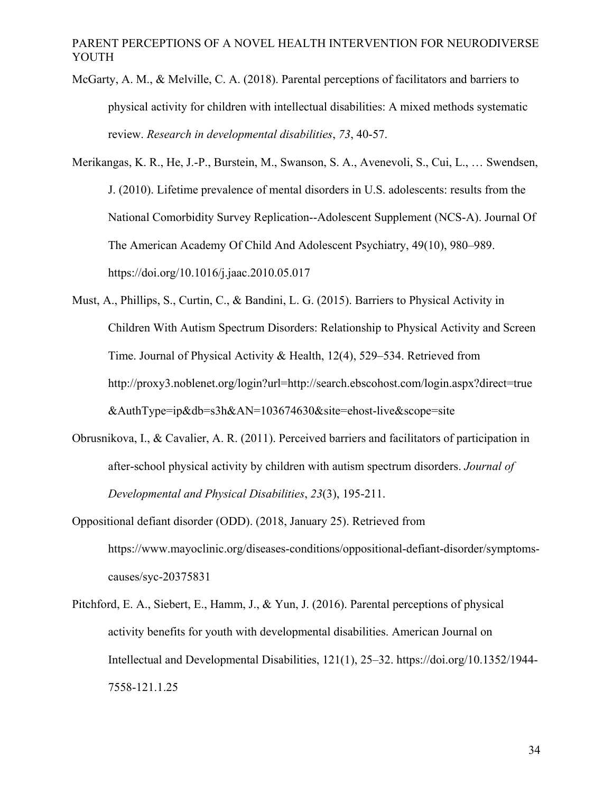- McGarty, A. M., & Melville, C. A. (2018). Parental perceptions of facilitators and barriers to physical activity for children with intellectual disabilities: A mixed methods systematic review. *Research in developmental disabilities*, *73*, 40-57.
- Merikangas, K. R., He, J.-P., Burstein, M., Swanson, S. A., Avenevoli, S., Cui, L., … Swendsen, J. (2010). Lifetime prevalence of mental disorders in U.S. adolescents: results from the National Comorbidity Survey Replication--Adolescent Supplement (NCS-A). Journal Of The American Academy Of Child And Adolescent Psychiatry, 49(10), 980–989. https://doi.org/10.1016/j.jaac.2010.05.017
- Must, A., Phillips, S., Curtin, C., & Bandini, L. G. (2015). Barriers to Physical Activity in Children With Autism Spectrum Disorders: Relationship to Physical Activity and Screen Time. Journal of Physical Activity & Health, 12(4), 529–534. Retrieved from http://proxy3.noblenet.org/login?url=http://search.ebscohost.com/login.aspx?direct=true &AuthType=ip&db=s3h&AN=103674630&site=ehost-live&scope=site
- Obrusnikova, I., & Cavalier, A. R. (2011). Perceived barriers and facilitators of participation in after-school physical activity by children with autism spectrum disorders. *Journal of Developmental and Physical Disabilities*, *23*(3), 195-211.
- Oppositional defiant disorder (ODD). (2018, January 25). Retrieved from https://www.mayoclinic.org/diseases-conditions/oppositional-defiant-disorder/symptomscauses/syc-20375831
- Pitchford, E. A., Siebert, E., Hamm, J., & Yun, J. (2016). Parental perceptions of physical activity benefits for youth with developmental disabilities. American Journal on Intellectual and Developmental Disabilities, 121(1), 25–32. https://doi.org/10.1352/1944- 7558-121.1.25